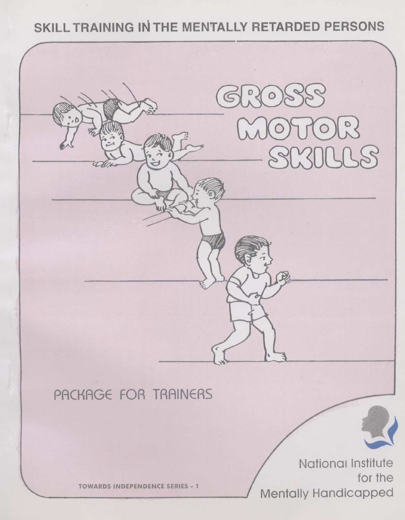# SKILL TRAINING IN THE MENTALLY RETARDED PERSONS

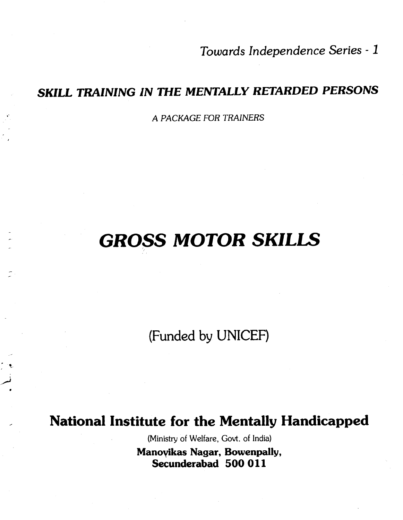Towards Independence Series - <sup>1</sup>

# SKILL TRAINING iN THE MENTALLY RETARDED PERSONS

A PACKAGE FOR TRAINERS

# GROSS MOTOR SKILLS

(Funded by UNICEF)

# National Institute for the Mentally Handicapped

(Ministry of Welfare, Govt. of India) Manoylkas Nagar, Bowenpally, Secunderabad 500 011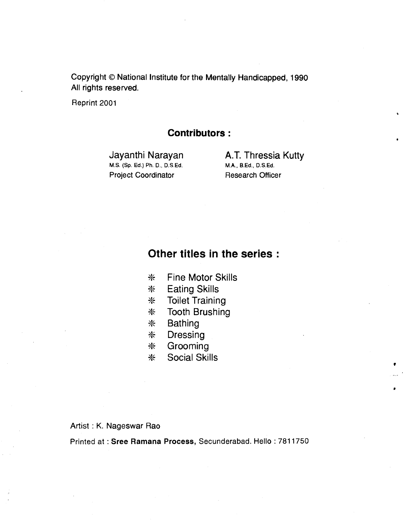Copyright © National Institute for the Mentally Handicapped, 1990 All rights reserved.

Reprint 2001

#### Contributors:

 $M.S.$  (Sp. Ed.) Ph. D., D.S.Ed. Project Coordinator Research Officer

Jayanthi Narayan **A.T. Thressia Kutty**<br>M.S. (Sp. Ed.) Ph. D., D.S.Ed. M.A., B.Ed., D.S.Ed.

 $\mathbf{r}$ 

#### Other titles in the series:

- \* Fine Motor Skills
- \* Eating Skills
- \* Toilet Training
- \* Tooth Brushing
- \* Bathing
- **Dressing**
- \* Grooming
- \* Social Skills

#### Artist : K. Nageswar Rao

Printed at: Sree Ramana Process, Secunderabad. Hello: 7811750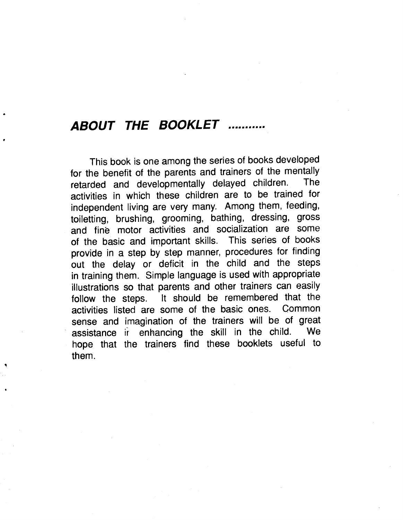# ABOUT THE BOOKLET ..........

This book is one among the series of books developed for the benefit of the parents and trainers of the mentally<br>retarded and developmentally delayed children. The retarded and developmentally delayed children. activities in which these children are to be trained for independent living are very many. Among them, feeding, toiletting, brushing, grooming, bathing, dressing, gross and fine motor activities and socialization are some of the basic and important skills. This series of books<br>provide in a step by step manner, procedures for finding out the delay or deficit in the child and the steps in training them. Simple language is used with appropriate illustrations so that parents and other trainers can easily follow the steps. It should be remembered that the activities listed are some of the basic ones. Common activities listed are some of the basic ones. sense and imagination of the trainers will be of great assistance ir enhancing the skill in the child. We hope that the trainers find these booklets useful to them.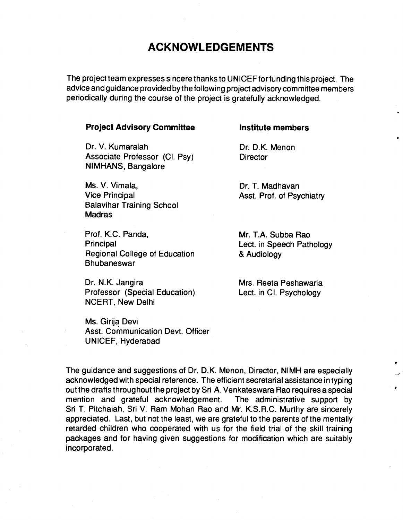#### ACKNOWLEDGEMENTS

The project team expresses sincere thanks to UN ICEF for funding this project. The advice and guidance provided by the following project advisory committee members periodically during the course of the project is gratefully acknowledged.

#### **Project Advisory Committee Institute members**

Dr. V. Kumaraiah Dr. D.K. Menon Associate Professor (Cl. Psy) Director NIMHANS, Bangalore

Ms. V. Vimala, No. 1996, No. 1997, Nadhavan Vice Principal **Asst.** Prof. of Psychiatry Balavihar Training School Madras

Prof. K.C. Panda, Mr. T.A. Subba Rao Principal Discussion Education Lect. in Speech Pathology<br>
Regional College of Education 8 Audiology Regional College of Education Bhubaneswar

Dr. N.K. Jangira **Mrs. Reeta Peshawaria** Professor (Special Education) Lect. in Cl. Psychology NCERT, New Delhi

Ms. Girija Devi Asst. Communication Devt. Officer UNICEF, Hyderabad

The guidance and suggestions of Dr. D.K. Menon, Director, NIMH are especially acknowledged with special reference. The efficient secretarial assistance in typing out the drafts throughout the project by Sri A. Venkateswara Rao requires a special mention and grateful acknowledgement. The administrative support by Sri T. Pitchaiah, Sri V. Ram Mohan Rao and Mr. K.S.R.C. Murthy are sincerely appreciated. Last, but not the least, we are grateful to the parents of the mentally retarded children who cooperated with us for the field trial of the skill training packages and for having given suggestions for modification which are suitably incorporated.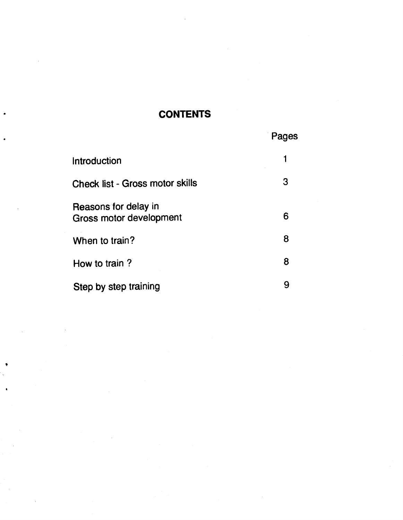#### **CONTENTS**

|  |  | Pages |
|--|--|-------|
|--|--|-------|

| Introduction                                    |   |
|-------------------------------------------------|---|
| <b>Check list - Gross motor skills</b>          | 3 |
| Reasons for delay in<br>Gross motor development | 6 |
| When to train?                                  | 8 |
| How to train?                                   | 8 |
| Step by step training                           | 9 |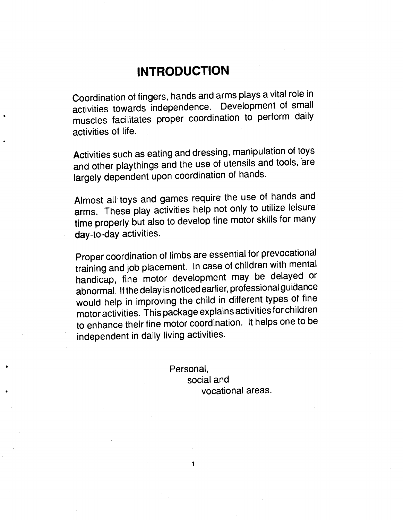# **INTRODUCTION**

<span id="page-6-0"></span>Coordination of fingers, hands and arms plays a vital role in activities towards independence. Development of small muscles facilitates proper coordination to perform daily activities of life.

Activities such as eating and dressing, manipulation of toys and other playthings and the use of utensils and tools, are largely dependent upon coordination of hands.

Almost all toys and games require the use of hands and arms. These play activities help not only to utilize leisure time properly but also to develop fine motor skills for many day-to-day activities.

Proper coordination of limbs are essential for prevocational training and job placement. In case of children with mental handicap, fine motor development may be delayed or abnormal. If the delay is noticed earlier, professional guidance would help in improving the child in different types of fine motor activities. This package explainsactivities for children to enhance their fine motor coordination. It helps one to be independent in daily living activities.

 $\mathbf{1}$ 

Personal, social and vocational areas.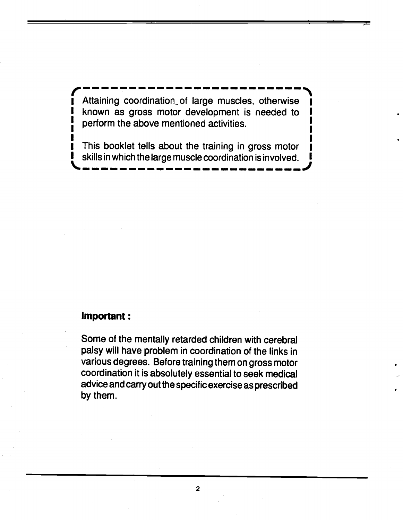Attaining coordination of large muscles, otherwise known as gross motor development is needed to perform the above mentioned activities.

— — — — — — — — — — — — — — — — — — — — — —

— — — — — — — — — — — — — — — — — — — — — — — —

 $\mathbf{I}$  which is a set of the set of the set of the set of the set of the set of the set of the set of the set of the set of the set of the set of the set of the set of the set of the set of the set of the set of the set I This booklet tells about the training in gross motor **I** skills in which the large muscle coordination is involved.

#### Important:

Some of the mentally retarded children with cerebral palsy will have problem in coordination of the links in various degrees. Before training them on gross motor coordination it is absolutely essential to seek medical advice and carry out the specific exercise as prescribed by them.

2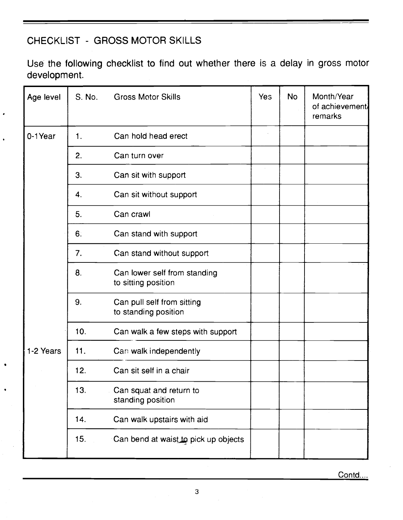### <span id="page-8-0"></span>CHECKLIST - GR OSS MOTO R SKILLS

Use the following checklist to find out whether there is a delay in gross motor development.

| Age level                                                            | S. No. | <b>Gross Motor Skills</b>                           | Yes | <b>No</b> | Month/Year<br>of achievement/<br>remarks |
|----------------------------------------------------------------------|--------|-----------------------------------------------------|-----|-----------|------------------------------------------|
| 0-1Year<br>1.<br>2.<br>3.<br>4.<br>5.<br>6.<br>7.<br>8.<br>9.<br>10. |        | Can hold head erect                                 |     |           |                                          |
|                                                                      |        | Can turn over                                       |     |           |                                          |
|                                                                      |        | Can sit with support                                |     |           |                                          |
|                                                                      |        | Can sit without support                             |     |           |                                          |
|                                                                      |        | Can crawl                                           |     |           |                                          |
|                                                                      |        | Can stand with support                              |     |           |                                          |
|                                                                      |        | Can stand without support                           |     |           |                                          |
|                                                                      |        | Can lower self from standing<br>to sitting position |     |           |                                          |
|                                                                      |        | Can pull self from sitting<br>to standing position  |     |           |                                          |
|                                                                      |        | Can walk a few steps with support                   |     |           |                                          |
| 1-2 Years                                                            | 11.    | Can walk independently                              |     |           |                                          |
|                                                                      | 12.    | Can sit self in a chair                             |     |           |                                          |
|                                                                      | 13.    | Can squat and return to<br>standing position        |     |           |                                          |
|                                                                      | 14.    | Can walk upstairs with aid                          |     |           |                                          |
|                                                                      | 15.    | Can bend at waist to pick up objects                |     |           |                                          |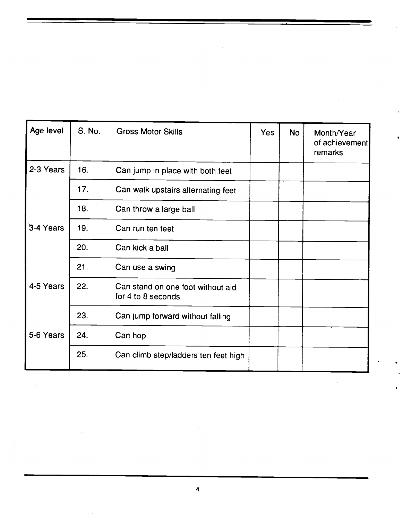| Age level                      | S. No.                                                  | <b>Gross Motor Skills</b>            | Yes | <b>No</b> | Month/Year<br>of achievement<br>remarks |
|--------------------------------|---------------------------------------------------------|--------------------------------------|-----|-----------|-----------------------------------------|
| 2-3 Years                      | 16.                                                     | Can jump in place with both feet     |     |           |                                         |
|                                | 17.                                                     | Can walk upstairs alternating feet   |     |           |                                         |
|                                | 18.                                                     | Can throw a large ball               |     |           |                                         |
| 3-4 Years<br>19.<br>20.<br>21. |                                                         | Can run ten feet                     |     |           |                                         |
|                                | Can kick a ball                                         |                                      |     |           |                                         |
|                                |                                                         | Can use a swing                      |     |           |                                         |
| 4-5 Years<br>22.<br>23.        | Can stand on one foot without aid<br>for 4 to 8 seconds |                                      |     |           |                                         |
|                                |                                                         | Can jump forward without falling     |     |           |                                         |
| 5-6 Years<br>24.<br>25.        |                                                         | Can hop                              |     |           |                                         |
|                                |                                                         | Can climb step/ladders ten feet high |     |           |                                         |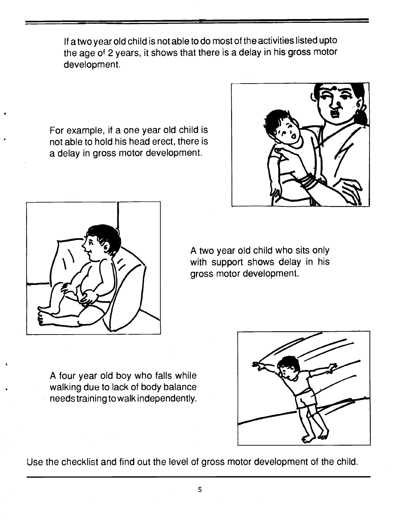If atwo year old child is not able to do most of the activities listed upto the age of 2 years, it shows that there is a delay in his gross motor development.

For example, if a one year old child is not able to hold his head erect, there is a delay in gross motor development.





A two year old child who sits only with support shows delay in his gross motor development.

A four year old boy who falls while walking due to lack of body balance needs training to walk independently.



Use the checklist and find out the level of gross motor development of the child.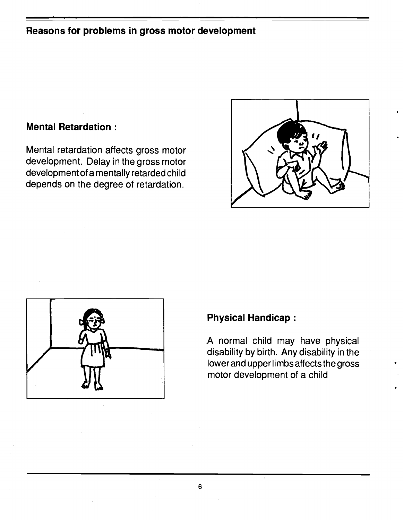#### <span id="page-11-0"></span>Reasons for problems in gross motor development

#### Mental Retardation:

Mental retardation affects gross motor development. Delay in the gross motor development ofa mentally retarded child depends on the degree of retardation.





#### Physical Handicap:

A normal child may have physical disability by birth. Any disability in the lowerand upper limbs affects the gross motor development of a child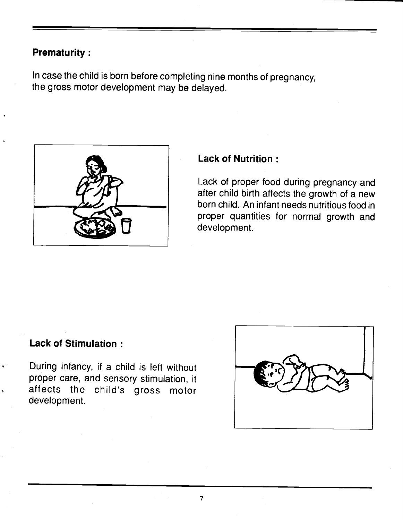#### Prematurity:

In case the child is born before completing nine months of pregnancy, the gross motor development may be delayed.



#### Lack of Nutrition:

Lack of proper food during pregnancy and after child birth affects the growth of a new born child. An infant needs nutritious food in proper quantities for normal growth and development.

#### Lack of Stimulation:

During infancy, if a child is left without proper care, and sensory stimulation, it affects the child's gross motor development.

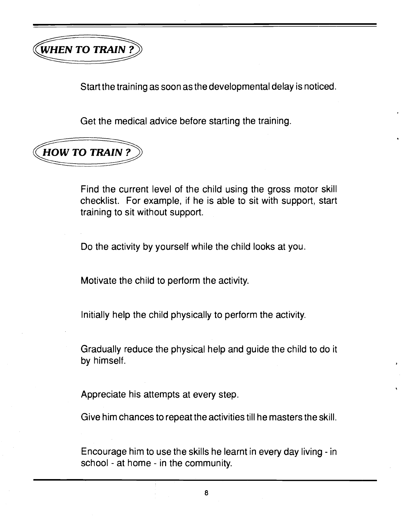<span id="page-13-0"></span>

Start the training as soon as the developmental delay is noticed.

Get the medical advice before starting the training.



Find the current level of the child using the gross motor skill checklist. For example, if he is able to sit with support, start training to sit without support.

Do the activity by yourself while the child looks at you.

Motivate the child to perform the activity.

Initially help the child physically to perform the activity.

Gradually reduce the physical help and guide the child to do it by himself.

Appreciate his attempts at every step.

Give him chances to repeat the activities till he masters the skill.

Encourage him to use the skills he learnt in every day living - in school - at home - in the community.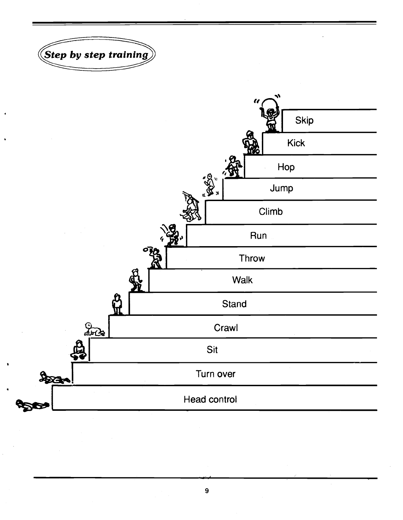<span id="page-14-0"></span>



9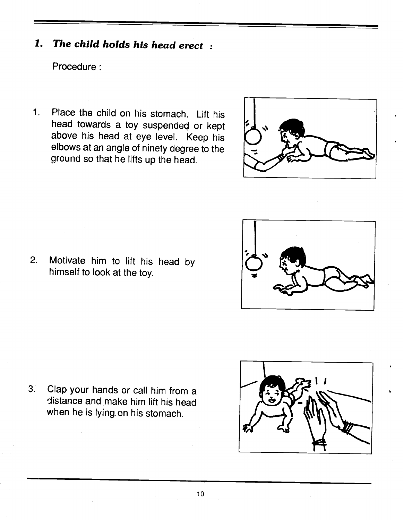# 1. The child holds his head erect :

Procedure:

1. Place the child on his stomach. Lift his head towards a toy suspended or kept above his head at eye level. Keep his elbows at an angle of ninety degree to the ground so that he lifts up the head.



3. Clap your hands or call him from a distance and make him lift his head when he is lying on his stomach.

2. Motivate him to lift his head by

himself to look at the toy.

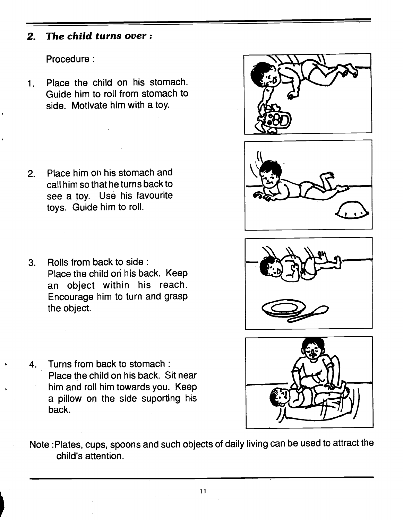#### 2. The child turns over:

Procedure:

1. Place the child on his stomach. Guide him to roll from stomach to side. Motivate him with a toy.

- 2. Place him or his stomach and call him so that he turns back to see a toy. Use his favourite toys. Guide him to roll.
- 3. Rolls from back to side: Place the child on his back. Keep an object within his reach. Encourage him to turn and grasp the object.
- 4. Turns from back to stomach: Place the child on his back. Sit near him and roll him towards you. Keep a pillow on the side suporting his back.
- Note :Plates, cups, spoons and such objects of daily living can be used to attract the child's attention.





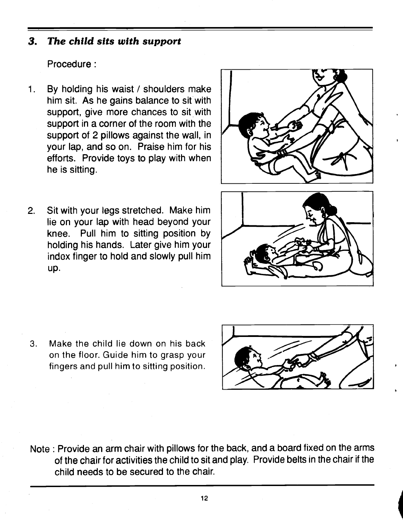#### 3. The child sits with support

Procedure:

- 1. By holding his waist / shoulders make him sit. As he gains balance to sit with support, give more chances to sit with support in a corner of the room with the support of 2 pillows against the wall, in your lap, and so on. Praise him for his efforts. Provide toys to play with when he is sitting.
- 2. Sit with your legs stretched. Make him lie on your lap with head beyond your knee. Pull him to sitting position by holding his hands. Later give him your index finger to hold and slowly pull him up.





3. Make the child lie down on his back on the floor. Guide him to grasp your fingers and pull him to sitting position.



Note: Provide an arm chair with pillows for the back, and a board fixed on the arms of the chair for activities the child to sit and play. Provide belts in the chair if the child needs to be secured to the chair.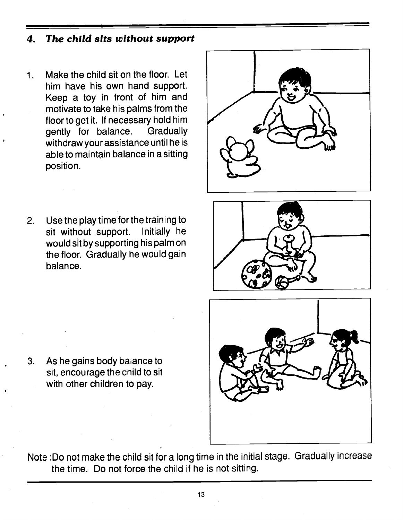#### 4. The child sits without support

- $1.$ Make the child sit on the floor. Let him have his own hand support. Keep a toy in front of him and motivate to take his palms from the floor to get it. If necessary hold him gently for balance. Gradually withdraw your assistance until he is able to maintain balance in a sitting position.
- 2. Use the play time for the training to sit without support. Initially he would sit by supporting his palm on the floor. Gradually he would gain balance

3. As he gains body bajance to

sit, encourage the child to sit with other children to pay.







- Note :Do not make the child sit for a long time in the initial stage. Gradually increase the time. Do not force the child if he is not sitting.
	- 13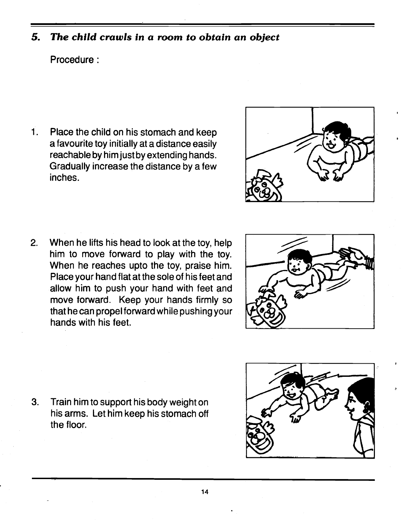#### 5. The child crawls in a room to obtain an object

#### Procedure:

 $\overline{1}$ . Place the child on his stomach and keep a favourite toy initially at a distance easily reachable by him just by extending hands. Gradually increase the distance by a few inches.

2. When he lifts his head to look at the toy, help him to move forward to play with the toy. When he reaches upto the toy, praise him. Place your hand flat at the sole of his feet and allow him to push your hand with feet and move forward. Keep your hands firmly so that he can propel forward while pushing your hands with his feet.

3. Train him to support his body weight on his arms. Let him keep his stomach off the floor.





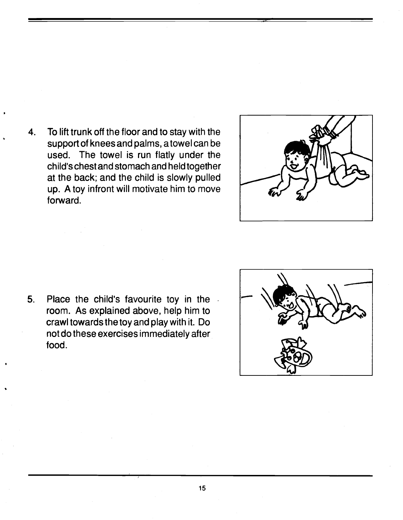4. To lift trunk off the floor and to stay with the support of knees and palms, a towel can be used. The towel is run flatly under the child's chest and stomach and held together at the back; and the child is slowly pulled up. A toy infront will motivate him to move forward.



5. Place the child's favourite toy in the room. As explained above, help him to crawl towards the toy and play with it. Do not do these exercises immediately after food.

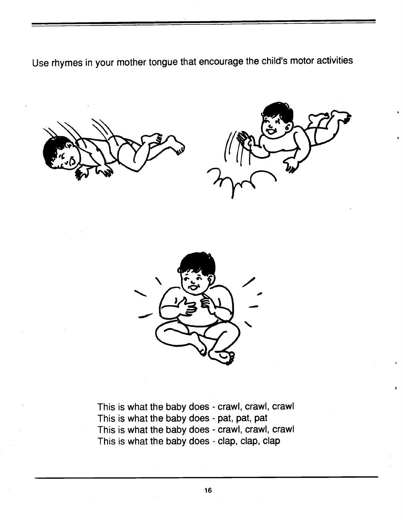Use rhymes in your mother tongue that encourage the child's motor activities







This is what the baby does - crawl, crawl, crawl This is what the baby does - pat, pat, pat This is what the baby does - crawl, crawl, crawl This is what the baby does - clap, clap, clap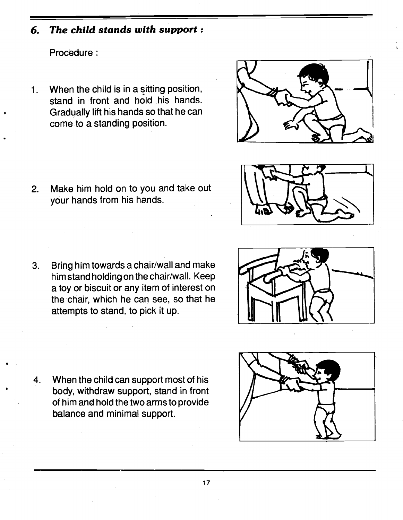#### 6. The child stands with support:

Procedure:

1. When the child is in a sitting position, stand in front and hold his hands. Gradually lift his hands so that he can come to a standing position.

2. Make him hold on to you and take out your hands from his hands.

3. Bring him towards a chair/wall and make him stand holding on the chair/wall. Keep a toy or biscuit or any item of interest on the chair, which he can see, so that he attempts to stand, to pick it up.

4. When the child can support most of his body, withdraw support, stand in front of him and hold the two arms to provide balance and minimal support.







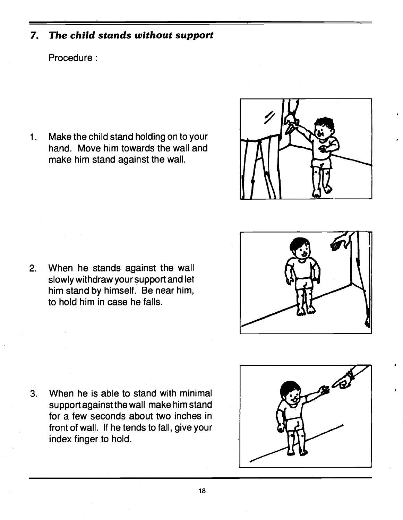#### 7. The child stands without support

#### Procedure:

1. Make the child stand holding on to your hand. Move him towards the wall and make him stand against the wall.



2. When he stands against the wall slowly withdraw your support and let him stand by himself. Be near him, to hold him in case he falls.

3. When he is able to stand with minimal support against the wall make him stand for a few seconds about two inches in front of wall. If he tends to fall, give your index finger to hold.



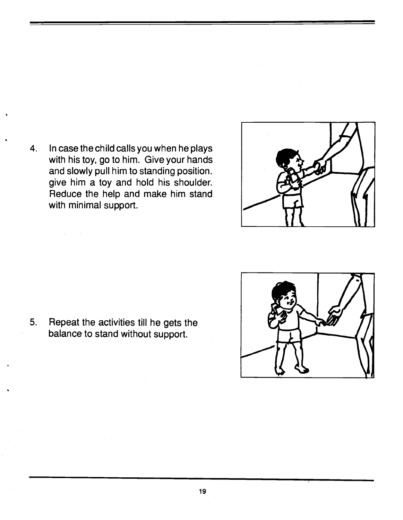4. In case the child calls you when he plays with his toy, go to him. Give your hands and slowly pull him to standing position. give him a toy and hold his shoulder. Reduce the help and make him stand with minimal support.

5. Repeat the activities till he gets the balance to stand without support.



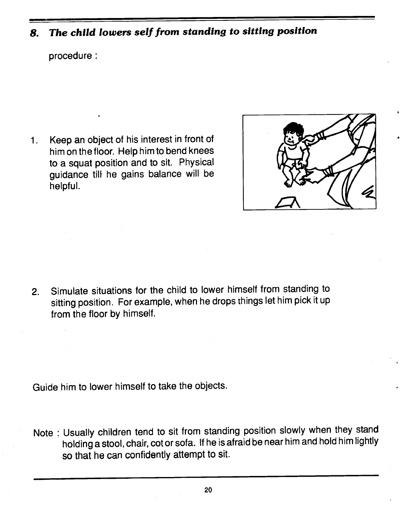# 8. The child lowers self from standing to sitting position

procedure:

1. Keep an object of his interest in front of him on the floor. Help him to bend knees to a squat position and to sit. Physical guidance till he gains balance will be helpful.



 $\bullet$ 

2. Simulate situations for the child to lower himself from standing to sitting position. For example, when he drops things let him pick it up from the floor by himself.

Guide him to lower himself to take the objects.

Note : Usually children tend to sit from standing position slowly when they stand holding a stool, chair, cot or sofa. It he is afraid be nearhim and hold him lightly so that he can confidently attempt to sit.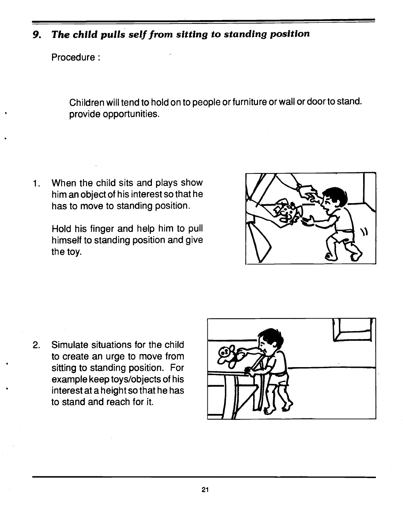#### 9. The child pulls self from sitting to standing position

Procedure:

Children will tend to hold on to people or furniture or wall or door to stand. provide opportunities.

When the child sits and plays show  $1.$ him an object of his interest so that he has to move to standing position.

> Hold his finger and help him to pull himself to standing position and give the toy.



2. Simulate situations for the child to create an urge to move from sitting to standing position. For example keep toys/objects of his interest at a height so that he has to stand and reach for it.

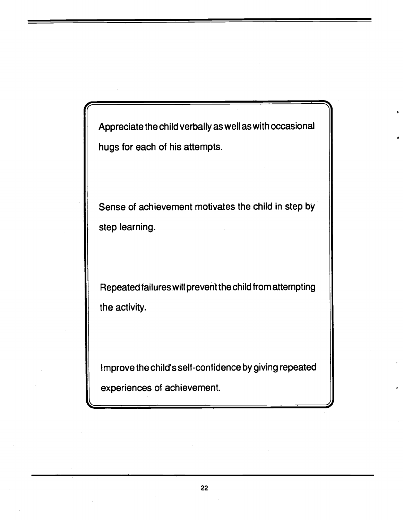Appreciate the child verbally as well as with occasional hugs for each of his attempts.

Sense of achievement motivates the child in step by step learning.

Repeated failureswill preventthe child from attempting the activity.

Improve the child's self-confidence by giving repeated experiences of achievement.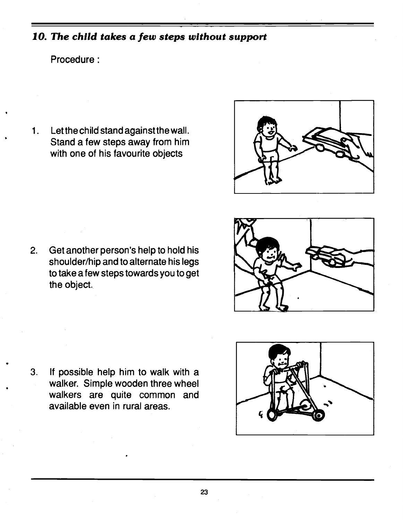## 10. The child takes a few steps without support

#### Procedure:

1. Letthe child stand againstthe wall. Stand a few steps away from him with one of his favourite objects



2. Get another person's help to hold his shoulder/hip and to alternate his legs to take a few steps towards you to get the object.

3. If possible help him to walk with a walker. Simple wooden three wheel walkers are quite common and available even in rural areas.



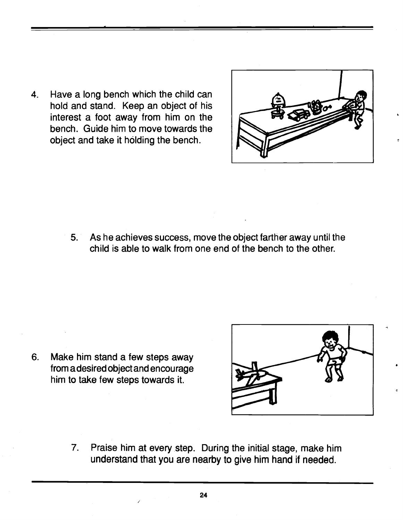4. Have a long bench which the child can hold and stand. Keep an object of his interest a foot away from him on the bench. Guide him to move towards the object and take it holding the bench.



5. As he achieves success, move the object farther away until the child is able to walk from one end of the bench to the other.

6. Make him stand a few steps away from a desired object and encourage him to take few steps towards it.



7. Praise him at every step. During the initial stage, make him understand that you are nearby to give him hand if needed.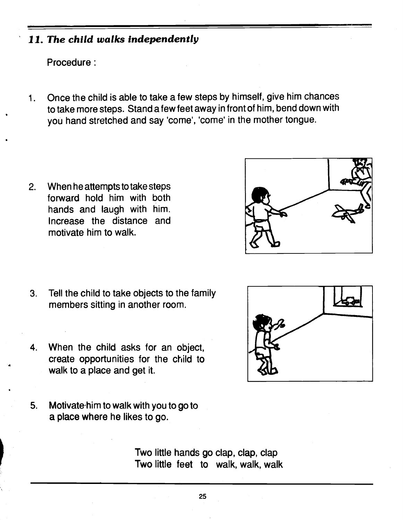#### 11. The child walks independently

Procedure:

1. Once the child is able to take a few steps by himself, give him chances to take more steps. Stand a few feet away in front of him, bend down with you hand stretched and say 'come', 'come' in the mother tongue.

2. When he attempts to take steps forward hold him with both hands and laugh with him. Increase the distance and motivate him to walk.



- 3. Tell the child to take objects to the family members sitting in another room.
- 4. When the child asks for an object, create opportunities for the Child to walk to a place and get it.
- 5. Motivate him to walk with you to go to a place where he likes to go.

Two little hands go clap, clap, clap Two little feet to walk, walk, walk

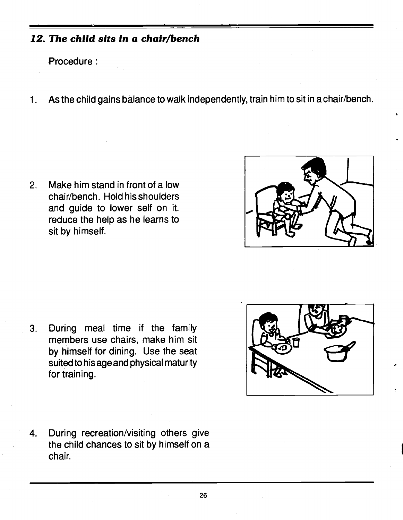#### 12. The child sits in a chair/bench

Procedure:

1. As the child gains balance to walk independently, train him to sit in a chair/bench.

2. Make him stand in front of a low chair/bench. Hold his shoulders and guide to lower self on it. reduce the help as he learns to sit by himself.



3. During meal time if the family members use chairs, make him sit by himself for dining. Use the seat suited to his age and physical maturity for training.



4. During recreation/visiting others give the child chances to sit by himself on a chair.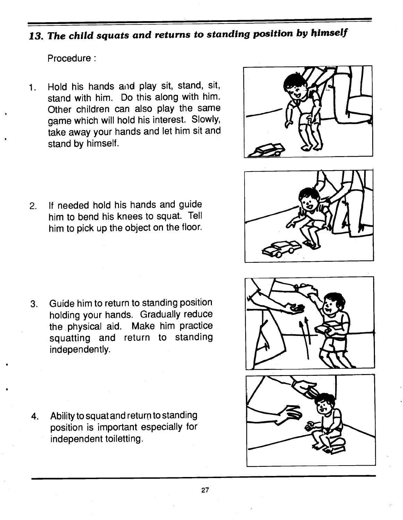# 13. The child squats and returns to standing position by himself

Procedure:

Hold his hands and play sit, stand, sit,  $1.$ stand with him. Do this along with him. Other children can also play the same game which will hold his interest. Slowly, take away your hands and let him sit and stand by himself.



- 
- 2. If needed hold his hands and guide him to bend his knees to squat. Tell him to pick up the object on the floor.

3. Guide him to return to standing position holding your hands. Gradually reduce the physical aid. Make him practice squatting and return to standing independently.

4. Ability to squat and return to standing position is important especially for independent toiletting.



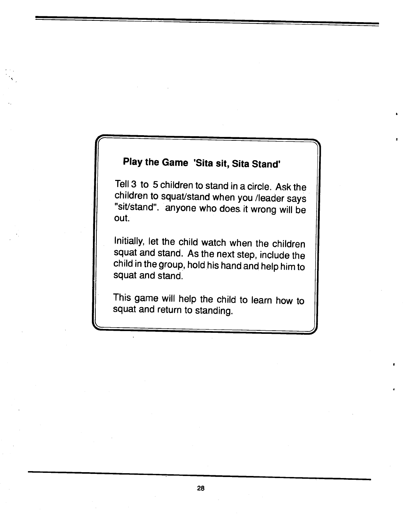# Play the Game 'Sita sit, Sita Stand'

Tell 3 to 5 children to stand in a circle. Ask the children to squat/stand when you /leader says "sit/stand", anyone who does it wrong will be out.

Initially, let the child watch when the children squat and stand. As the next step, include the child in the group, hold his hand and help him to squat and stand.

This game will help the child to learn how to squat and return to standing.

<u>———————————————————————</u>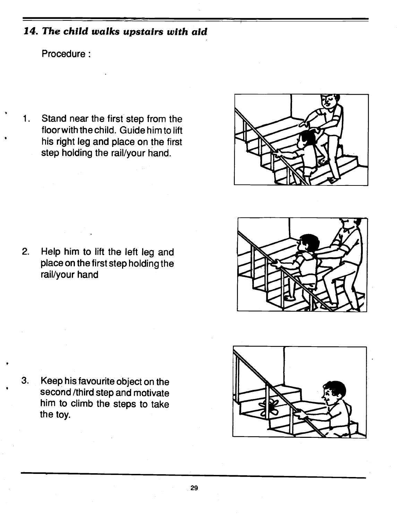#### 14. The child walks upstairs with aid

Procedure

rail/your hand

1. Stand near the first step from the floorwith the child. Guide him to lift his right leg and place on the first step holding the rail/your hand.



2. Help him to lift the left leg and place on the first step holding the

3. Keep his favourite object on the second /third step and motivate him to climb the steps to take the toy.

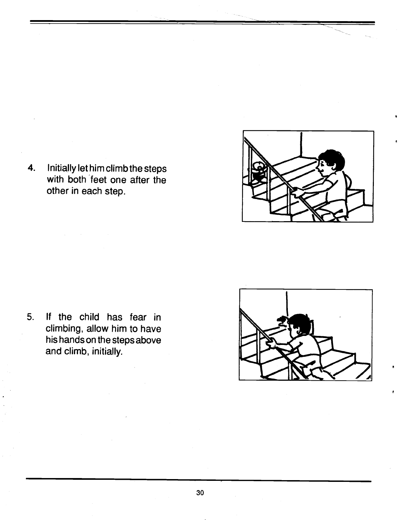

4. Initially let him climb the steps with both 'feet one after the other in each step.

5. If the child has fear in climbing, allow him to have his hands on the steps above and climb, initially.

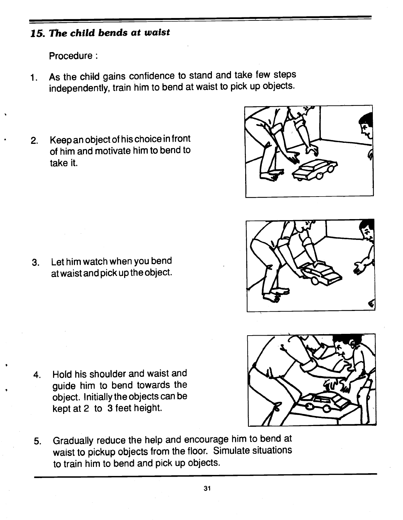# 15. The child bends at waist

Procedure:

- 1. As the child gains confidence to stand and take few steps independently, train him to bend at waist to pick up objects.
- 2. Keep an object of his choice in front of him and motivate him to bend to take it.

3. Let him watch when you bend at waist and pick up the object.

- 4. Hold his shoulder and waist and guide him to bend towards the object. Initially the objects can be keptat2 to 3 feet height.
- 5. Gradually reduce the help and encourage him to bend at waist to pickup objects from the floor. Simulate situations to train him to bend and pick up objects.





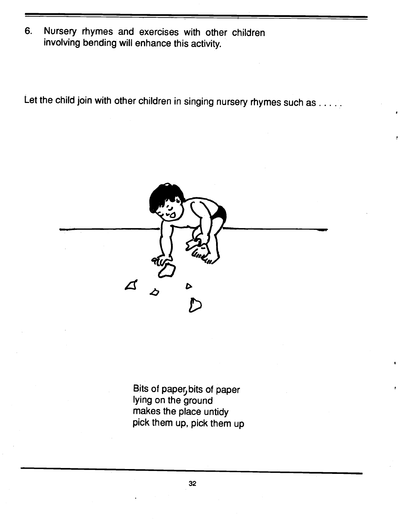6. Nursery rhymes and exercises with other children involving bending will enhance this activity.

Let the child join with other children in singing nursery rhymes such as . . . . .



Bits of paper, bits of paper lying on the ground makes the place untidy pick them up, pick them up

32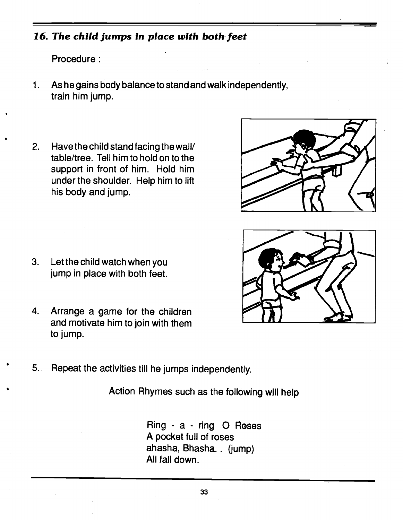### 16. The child jumps in place with both feet

Procedure:

- 1. As he gains body balance to stand and walk independently, train him jump.
- 2. Have the child stand facing the wall/ table/tree. Tell him to hold on to the support in front of him. Hold him under the shoulder. Help him to lift his body and jump.

- 3. Let the child watch when you jump in place with both feet.
- 4. Arrange a game for the children and motivate him to join with themto jUmp.





5. Repeat the activities till he jumps independently.

Action Rhymes such as the following will help

Ring - a - ring 0 Roses A pocket full of roses ahasha, Bhasha.. (jump) All fall down.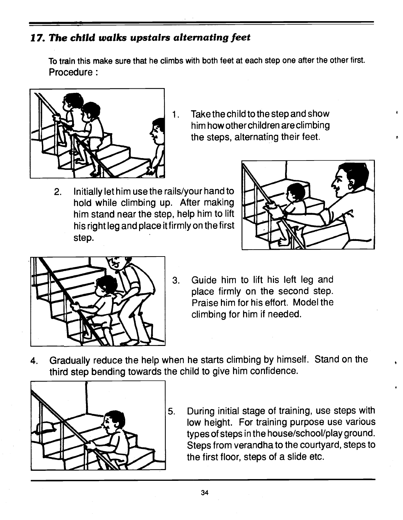#### 17. The child walks upstairs alternating feet

To train this make sure that he climbs with both feet at each step one after the other first. Procedure:



- 1. Take the child to the step and show him how other children are climbing the steps, alternating their feet.
- 2. Initially let him use the rails/your hand to hold while climbing up. After making him stand near the step, help him to lift his right leg and place itfirm!y on the first step.





- 3. Guide him to lift his left leg and place firmly on the second step. Praise him for his effort. Model the climbing for him if needed.
- 4. Gradually reduce the help when he starts climbing by himself. Stand on the third step bending towards the child to give him confidence.



5. During initial stage of training, use steps with low height. For training purpose use various types of steps in the house/school/play ground. Steps from verandha to the courtyard, steps to the first floor, steps of a slide etc.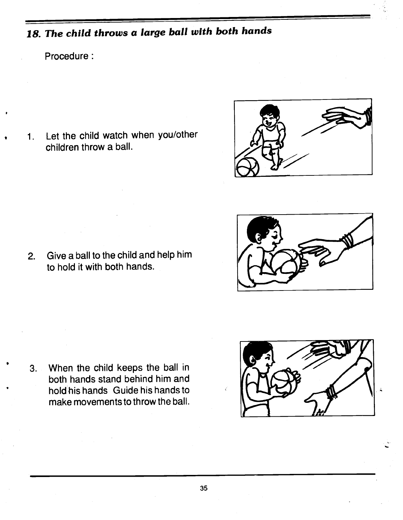# 18. The child throws a large ball with both hands

#### Procedure:

1. Let the child watch when you/other children throw a ball.





3. When the child keeps the ball in both hands stand behind him and hold his hands Guide his hands to make movements to throw the ball.

2. Give a ball to the child and help him

to hold it with both hands.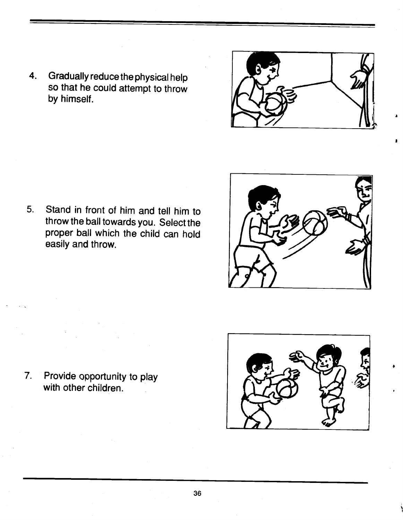4. Gradually reduce the physical help so that he could attempt to throw by himself.

5. Stand in front of him and tell him to throw the ball towards you. Select the proper ball which the child can hold easily and throw.

7. Provide opportunity to play with other children.









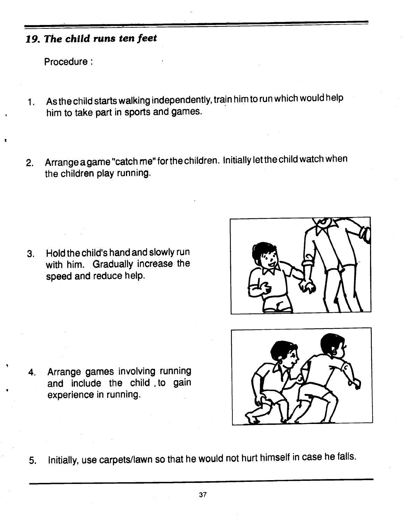#### 19. The child runs ten feet

Procedure:

- 1. As the child starts walking independently, train him to runwhich would help him to take part in sports and games.
- 2. Arrange a game "catch me" for the children. Initially let the child watch when the children play running.

3. Hold the child's hand and slowly run with him. Gradually increase the speed and reduce help.







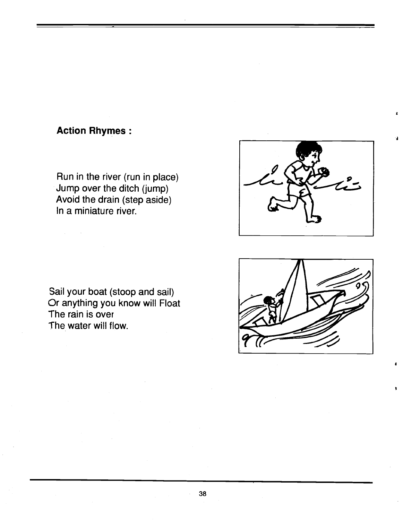#### Action Rhymes:

Run in the river (run in place) Jump over the ditch (jump) Avoid the drain (step aside) In a miniature river.

Sail your boat (stoop and sail) Or anything you know will Float The rain is over The water will flow.



I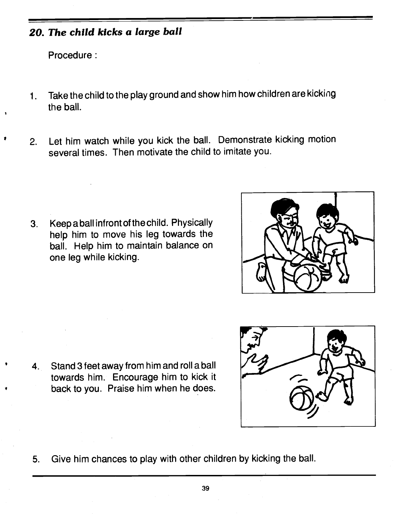#### 20. The child kicks a large ball

Procedure:

- 1. Take the child to the play ground and show himhow children are kicking the ball.
- 2. Let him watch while you kick the ball. Demonstrate kicking motion several times. Then motivate the child to imitate you.

3. Keepaball infrontofthechild. Physically help him to move his leg towards the ball. Help him to maintain balance on one leg while kicking.



4. Stand 3 feet away from him and roll a ball towards him. Encourage him to kick it back to you. Praise him when he does.



5. Give him chances to play with other children by kicking the ball.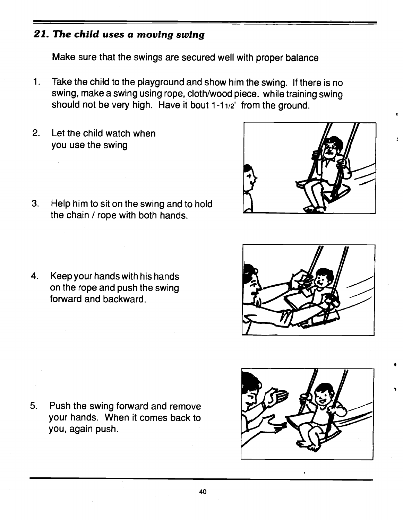#### 21. The child uses a moving swing

Make sure that the swings are secured well with proper balance

- 1. Take the child to the playground and show him the swing. If there is no swing, make a swing using rope, cloth/wood piece. while training swing should not be very high. Have it bout 1-11/2' from the ground.
- 2. Let the child watch when you use the swing
- 3. Help him to sit on the swing and to hold the chain / rope with both hands.
- 4. Keep your hands with his hands on the rope and push the swing forward and backward.

5. Push the swing forward and remove your hands. When it comes back to you, again push.



&

I



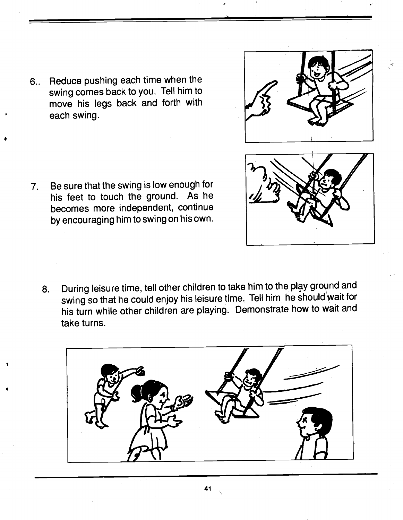6.. Reduce pushing each time when the swing comes back to you. Tell him to move his legs back and forth with each swing.

7. Be sure that the swing is low enough for his feet to touch the ground. As he becomes more independent, continue by encouraging him to swing on his own.

8. During leisure time, tell other children to take him to the play groynd and swing so that he could enjoy his leisure time. Tell him he should wait for his turn while other children are playing. Demonstrate how to wait and take turns.

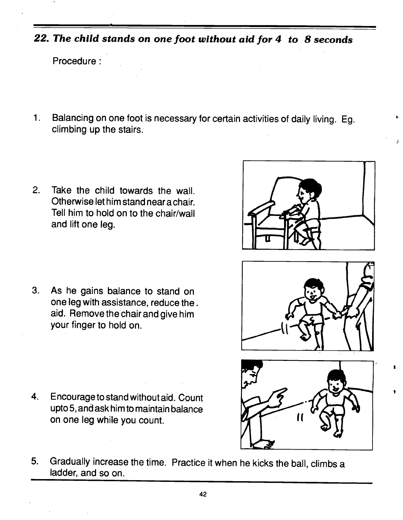22. The child stands on one foot without aid for 4 to 8 seconds

Procedure:

- 1. Balancing on one foot is necessary for certain activities of daily living. Eg. climbing up the stairs;
- 2. Take the child towards the wall. Otherwise let him stand nearachair. Tell him to hold on to the chair/wall and lift one leg.

3. As he gains balance to stand on one leg with assistance, reduce the. aid. Remove the chair and give him your finger to hold on.

4. Encourage to stand without aid. Count

on one leg while you count.

upto 5, and ask him to maintain balance



J

\*



- 
- 5. Gradually increase the time. Practice it when he kicks the ball, climbs a ladder, and so on.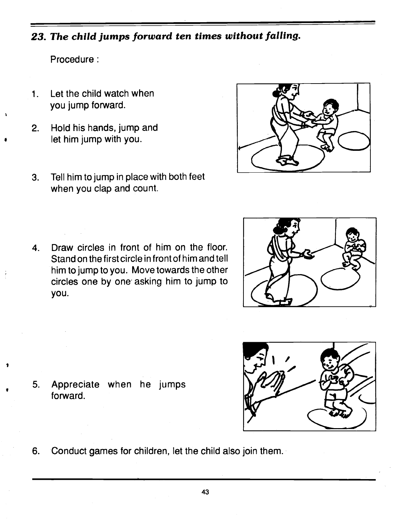#### 23. The child jumps forward ten times without falling.

Procedure:

- 1. Let the child watch when you jump forward.
- 2. Hold his hands, jump and let him jump with you.
- 3. Tell him to jump in place with both feet when you clap and count.
- 4. Draw circles in front of him on the floor. Stand on the first circle in front of him and tell him to jump to you. Move towards the other circles one by one asking him to jump to you.

- 5. Appreciate when he jumps forward.
- 6. Conduct games for children, let the child also join them.





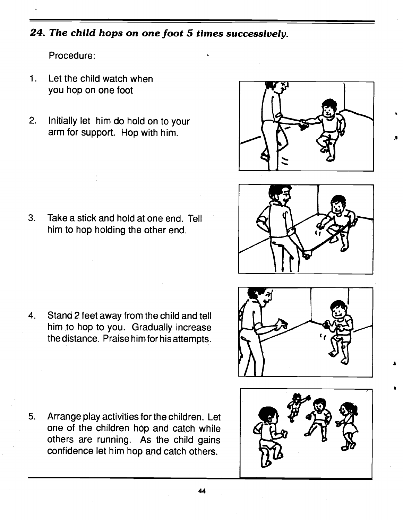#### 24. The child hops on one foot 5 times successively.

Procedure:

- 1. Let the child watch when you hop on one foot
- 2. Initially let him do hold on to your arm for support. Hop with him.



 $\cdot$ 

4

3. Take a stick and hold at one end. Tell him to hop holding the other end.



4. Stand 2 feet away from the child and tell him to hop to you. Gradually increase the distance. Praise him for his attempts.



5. Arrange play activities for the children. Let one of the children hop and catch while others are running. As the child gains confidence let him hop and catch others.

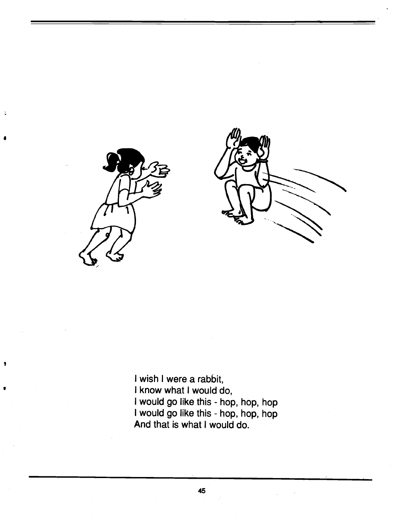

 $\ddot{\cdot}$ 

I wish I were a rabbit, I know what I would do, I would go like this - hop, hop, hop I would go like this - hop, hop, hop And that is what I would do.

45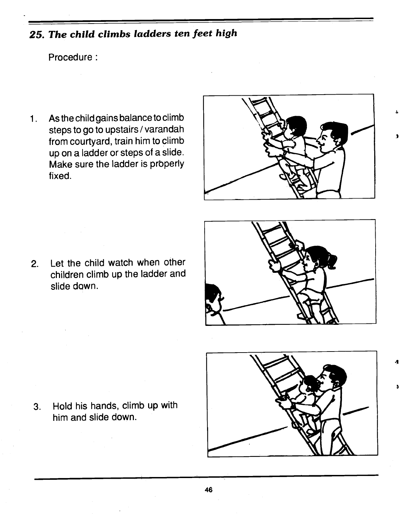# 25. The child climbs ladders ten feet high

Procedure

1. As the child gains balance to climb steps to go to upstairs / varandah from courtyard, train him to climb up on a ladder or steps of a slide. Make sure the ladder is properly fixed.



2. Let the child watch when other children climb up the ladder and slide down.



.1

- 
- 3. Hold his hands, climb up with him and slide down.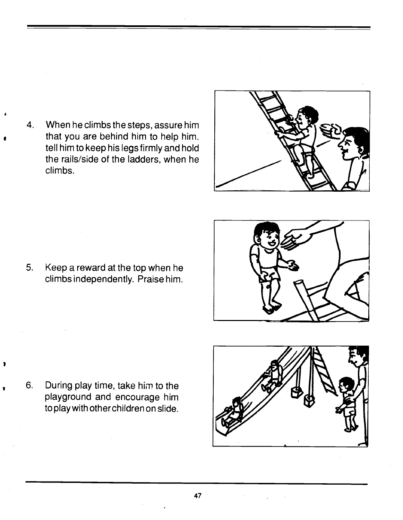4. When he climbs the steps, assure him that you are behind him to help him. tell him to keep his legs firmly and hold the rails/side of the ladders, when he climbs.



5. Keep a reward at the top when he climbs independently. Praise him.



6. During play time, take him to the playground and encourage him to play with other children on slide.